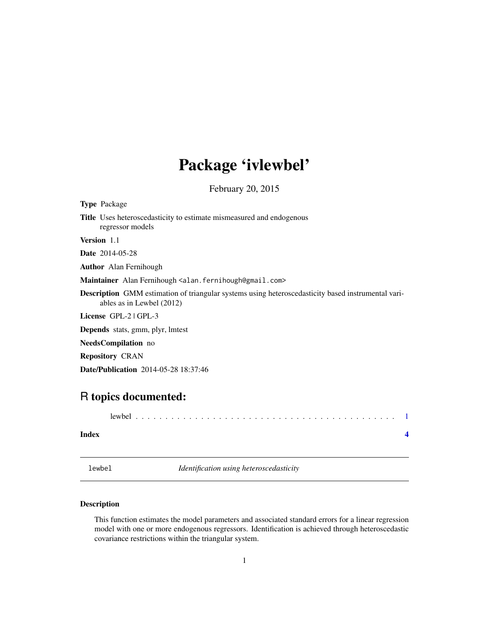## <span id="page-0-0"></span>Package 'ivlewbel'

February 20, 2015

| <b>Type Package</b>                                                                                                                    |
|----------------------------------------------------------------------------------------------------------------------------------------|
| <b>Title</b> Uses heteroscedasticity to estimate mismeasured and endogenous<br>regressor models                                        |
| <b>Version</b> 1.1                                                                                                                     |
| <b>Date</b> 2014-05-28                                                                                                                 |
| <b>Author</b> Alan Fernihough                                                                                                          |
| Maintainer Alan Fernihough <alan.fernihough@gmail.com></alan.fernihough@gmail.com>                                                     |
| <b>Description</b> GMM estimation of triangular systems using heteroscedasticity based instrumental vari-<br>ables as in Lewbel (2012) |
| License GPL-2   GPL-3                                                                                                                  |
| <b>Depends</b> stats, gmm, plyr, lmtest                                                                                                |
| <b>NeedsCompilation</b> no                                                                                                             |
| <b>Repository CRAN</b>                                                                                                                 |
| <b>Date/Publication</b> 2014-05-28 18:37:46                                                                                            |
|                                                                                                                                        |

### R topics documented:

| Index |  |
|-------|--|

lewbel *Identification using heteroscedasticity*

#### Description

This function estimates the model parameters and associated standard errors for a linear regression model with one or more endogenous regressors. Identification is achieved through heteroscedastic covariance restrictions within the triangular system.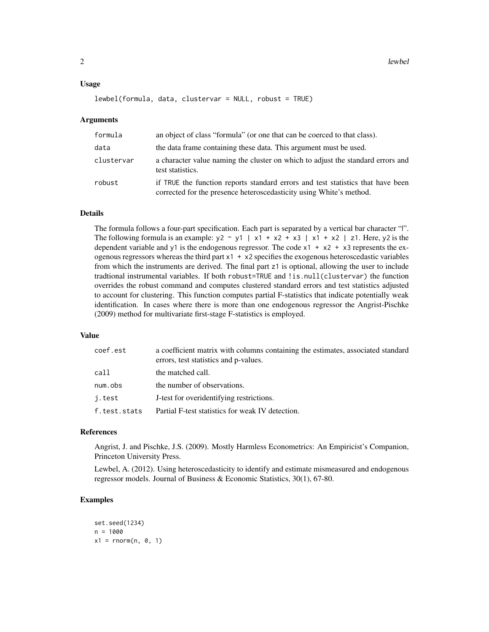#### Usage

#### lewbel(formula, data, clustervar = NULL, robust = TRUE)

#### Arguments

| formula    | an object of class "formula" (or one that can be coerced to that class).                                                                               |
|------------|--------------------------------------------------------------------------------------------------------------------------------------------------------|
| data       | the data frame containing these data. This argument must be used.                                                                                      |
| clustervar | a character value naming the cluster on which to adjust the standard errors and<br>test statistics.                                                    |
| robust     | if TRUE the function reports standard errors and test statistics that have been<br>corrected for the presence heteroscedasticity using White's method. |

#### Details

The formula follows a four-part specification. Each part is separated by a vertical bar character "|". The following formula is an example:  $y2 \sim y1 + x2 + x3 + x3 + x1 + x2 + z1$ . Here,  $y2$  is the dependent variable and y1 is the endogenous regressor. The code  $x1 + x2 + x3$  represents the exogenous regressors whereas the third part x1 + x2 specifies the exogenous heteroscedastic variables from which the instruments are derived. The final part z1 is optional, allowing the user to include tradtional instrumental variables. If both robust=TRUE and !is.null(clustervar) the function overrides the robust command and computes clustered standard errors and test statistics adjusted to account for clustering. This function computes partial F-statistics that indicate potentially weak identification. In cases where there is more than one endogenous regressor the Angrist-Pischke (2009) method for multivariate first-stage F-statistics is employed.

#### Value

| coef.est     | a coefficient matrix with columns containing the estimates, associated standard<br>errors, test statistics and p-values. |
|--------------|--------------------------------------------------------------------------------------------------------------------------|
| call         | the matched call.                                                                                                        |
| num.obs      | the number of observations.                                                                                              |
| j.test       | J-test for overidentifying restrictions.                                                                                 |
| f.test.stats | Partial F-test statistics for weak IV detection.                                                                         |
|              |                                                                                                                          |

#### References

Angrist, J. and Pischke, J.S. (2009). Mostly Harmless Econometrics: An Empiricist's Companion, Princeton University Press.

Lewbel, A. (2012). Using heteroscedasticity to identify and estimate mismeasured and endogenous regressor models. Journal of Business & Economic Statistics, 30(1), 67-80.

#### Examples

```
set.seed(1234)
n = 1000x1 = \text{norm}(n, 0, 1)
```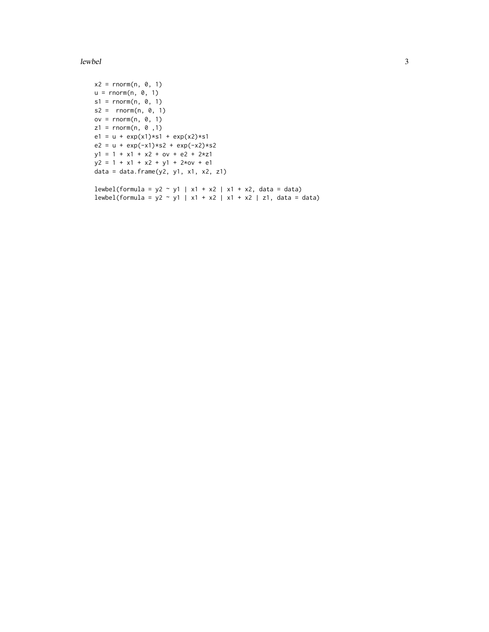#### $l$ ewbel  $3<sup>3</sup>$

```
x2 = rnorm(n, 0, 1)u = rnorm(n, 0, 1)s1 = rnorm(n, 0, 1)s2 = rnorm(n, 0, 1)ov = rnorm(n, 0, 1)z1 = rnorm(n, 0, 1)e1 = u + exp(x1)*s1 + exp(x2)*s1e2 = u + exp(-x1)*s2 + exp(-x2)*s2y1 = 1 + x1 + x2 + ov + e2 + 2*z1y2 = 1 + x1 + x2 + y1 + 2xov + e1
data = data.frame(y2, y1, x1, x2, z1)lewbel(formula = y2 ~ y1 | x1 + x2 | x1 + x2, data = data)
lewbel(formula = y2 \sim y1 | x1 + x2 | x1 + x2 | z1, data = data)
```